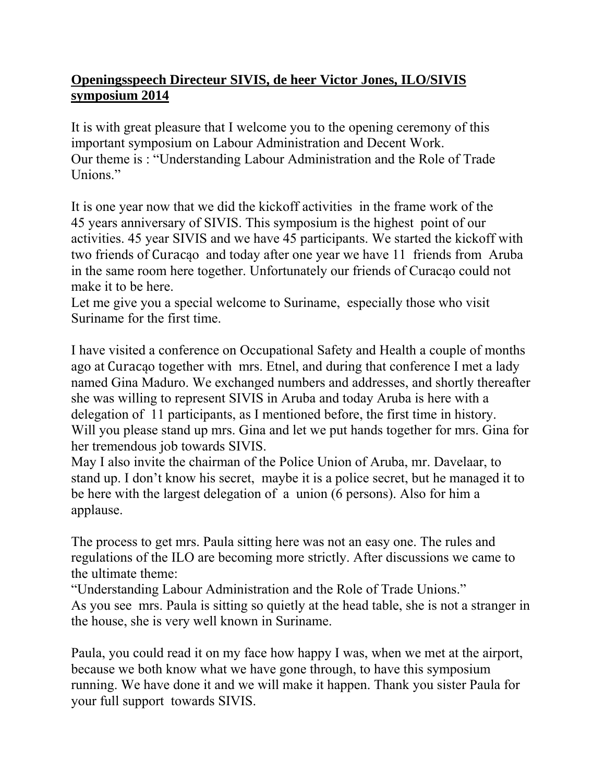## **Openingsspeech Directeur SIVIS, de heer Victor Jones, ILO/SIVIS symposium 2014**

It is with great pleasure that I welcome you to the opening ceremony of this important symposium on Labour Administration and Decent Work. Our theme is : "Understanding Labour Administration and the Role of Trade Unions."

It is one year now that we did the kickoff activities in the frame work of the 45 years anniversary of SIVIS. This symposium is the highest point of our activities. 45 year SIVIS and we have 45 participants. We started the kickoff with two friends of Curacąo and today after one year we have 11 friends from Aruba in the same room here together. Unfortunately our friends of Curacąo could not make it to be here.

Let me give you a special welcome to Suriname, especially those who visit Suriname for the first time.

I have visited a conference on Occupational Safety and Health a couple of months ago at Curacąo together with mrs. Etnel, and during that conference I met a lady named Gina Maduro. We exchanged numbers and addresses, and shortly thereafter she was willing to represent SIVIS in Aruba and today Aruba is here with a delegation of 11 participants, as I mentioned before, the first time in history. Will you please stand up mrs. Gina and let we put hands together for mrs. Gina for her tremendous job towards SIVIS.

May I also invite the chairman of the Police Union of Aruba, mr. Davelaar, to stand up. I don't know his secret, maybe it is a police secret, but he managed it to be here with the largest delegation of a union (6 persons). Also for him a applause.

The process to get mrs. Paula sitting here was not an easy one. The rules and regulations of the ILO are becoming more strictly. After discussions we came to the ultimate theme:

"Understanding Labour Administration and the Role of Trade Unions." As you see mrs. Paula is sitting so quietly at the head table, she is not a stranger in the house, she is very well known in Suriname.

Paula, you could read it on my face how happy I was, when we met at the airport, because we both know what we have gone through, to have this symposium running. We have done it and we will make it happen. Thank you sister Paula for your full support towards SIVIS.